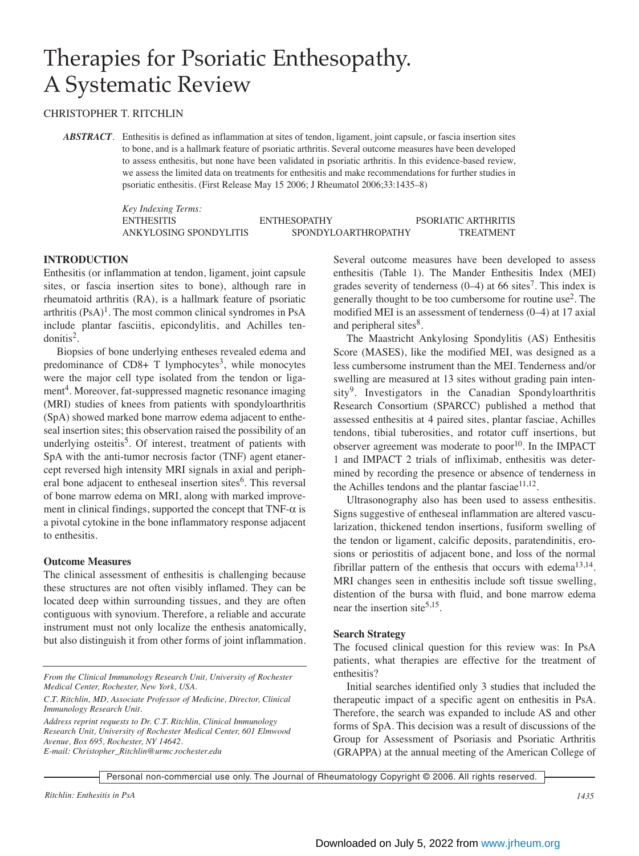# Therapies for Psoriatic Enthesopathy. A Systematic Review

## CHRISTOPHER T. RITCHLIN

*ABSTRACT*. Enthesitis is defined as inflammation at sites of tendon, ligament, joint capsule, or fascia insertion sites to bone, and is a hallmark feature of psoriatic arthritis. Several outcome measures have been developed to assess enthesitis, but none have been validated in psoriatic arthritis. In this evidence-based review, we assess the limited data on treatments for enthesitis and make recommendations for further studies in psoriatic enthesitis. (First Release May 15 2006; J Rheumatol 2006;33:1435–8)

> *Key Indexing Terms:* ENTHESITIS ENTHESOPATHY PSORIATIC ARTHRITIS ANKYLOSING SPONDYLITIS SPONDYLOARTHROPATHY TREATMENT

#### **INTRODUCTION**

Enthesitis (or inflammation at tendon, ligament, joint capsule sites, or fascia insertion sites to bone), although rare in rheumatoid arthritis (RA), is a hallmark feature of psoriatic arthritis  $(PsA)^{1}$ . The most common clinical syndromes in PsA include plantar fasciitis, epicondylitis, and Achilles ten $donitis<sup>2</sup>$ .

Biopsies of bone underlying entheses revealed edema and predominance of  $CD8+T$  lymphocytes<sup>3</sup>, while monocytes were the major cell type isolated from the tendon or ligament<sup>4</sup>. Moreover, fat-suppressed magnetic resonance imaging (MRI) studies of knees from patients with spondyloarthritis (SpA) showed marked bone marrow edema adjacent to entheseal insertion sites; this observation raised the possibility of an underlying osteitis<sup>5</sup>. Of interest, treatment of patients with SpA with the anti-tumor necrosis factor (TNF) agent etanercept reversed high intensity MRI signals in axial and peripheral bone adjacent to entheseal insertion sites<sup>6</sup>. This reversal of bone marrow edema on MRI, along with marked improvement in clinical findings, supported the concept that  $TNF-\alpha$  is a pivotal cytokine in the bone inflammatory response adjacent to enthesitis.

#### **Outcome Measures**

The clinical assessment of enthesitis is challenging because these structures are not often visibly inflamed. They can be located deep within surrounding tissues, and they are often contiguous with synovium. Therefore, a reliable and accurate instrument must not only localize the enthesis anatomically, but also distinguish it from other forms of joint inflammation.

*From the Clinical Immunology Research Unit, University of Rochester Medical Center, Rochester, New York, USA.*

*C.T. Ritchlin, MD, Associate Professor of Medicine, Director, Clinical Immunology Research Unit.*

*Address reprint requests to Dr. C.T. Ritchlin, Clinical Immunology Research Unit, University of Rochester Medical Center, 601 Elmwood Avenue, Box 695, Rochester, NY 14642. E-mail: Christopher\_Ritchlin@urmc.rochester.edu*

Several outcome measures have been developed to assess enthesitis (Table 1). The Mander Enthesitis Index (MEI) grades severity of tenderness  $(0-4)$  at 66 sites<sup>7</sup>. This index is generally thought to be too cumbersome for routine use<sup>2</sup>. The modified MEI is an assessment of tenderness (0–4) at 17 axial and peripheral sites<sup>8</sup>.

The Maastricht Ankylosing Spondylitis (AS) Enthesitis Score (MASES), like the modified MEI, was designed as a less cumbersome instrument than the MEI. Tenderness and/or swelling are measured at 13 sites without grading pain intensity<sup>9</sup>. Investigators in the Canadian Spondyloarthritis Research Consortium (SPARCC) published a method that assessed enthesitis at 4 paired sites, plantar fasciae, Achilles tendons, tibial tuberosities, and rotator cuff insertions, but observer agreement was moderate to  $poor<sup>10</sup>$ . In the IMPACT 1 and IMPACT 2 trials of infliximab, enthesitis was determined by recording the presence or absence of tenderness in the Achilles tendons and the plantar fasciae $11,12$ .

Ultrasonography also has been used to assess enthesitis. Signs suggestive of entheseal inflammation are altered vascularization, thickened tendon insertions, fusiform swelling of the tendon or ligament, calcific deposits, paratendinitis, erosions or periostitis of adjacent bone, and loss of the normal fibrillar pattern of the enthesis that occurs with edema<sup>13,14</sup>. MRI changes seen in enthesitis include soft tissue swelling, distention of the bursa with fluid, and bone marrow edema near the insertion site<sup>5,15</sup>.

#### **Search Strategy**

The focused clinical question for this review was: In PsA patients, what therapies are effective for the treatment of enthesitis?

Initial searches identified only 3 studies that included the therapeutic impact of a specific agent on enthesitis in PsA. Therefore, the search was expanded to include AS and other forms of SpA. This decision was a result of discussions of the Group for Assessment of Psoriasis and Psoriatic Arthritis (GRAPPA) at the annual meeting of the American College of

Personal non-commercial use only. The Journal of Rheumatology Copyright © 2006. All rights reserved.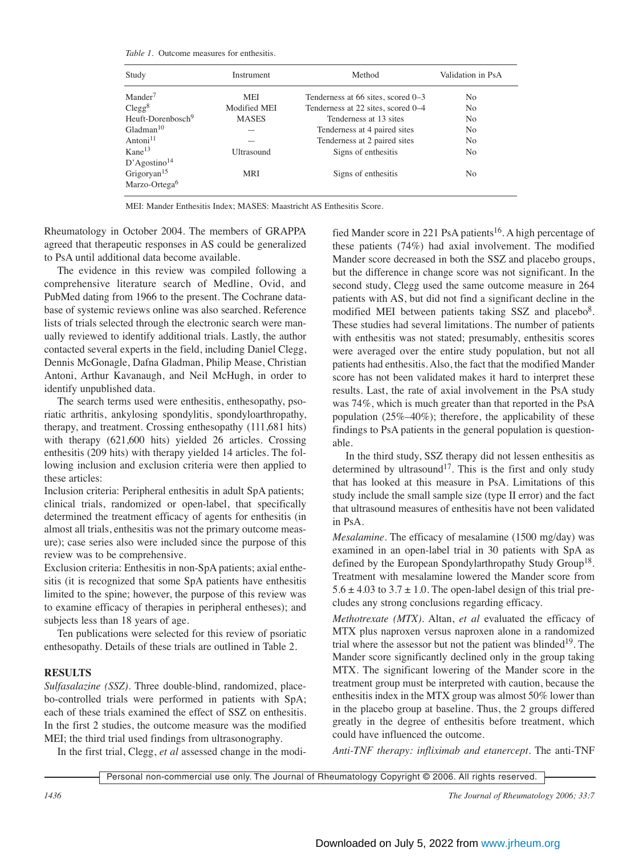*Table 1.* Outcome measures for enthesitis.

| Study                         | Instrument   | Method                             | Validation in PsA |  |  |
|-------------------------------|--------------|------------------------------------|-------------------|--|--|
| $M$ ander $^7$                | MEI          | Tenderness at 66 sites, scored 0–3 | No                |  |  |
| $Clegg^8$                     | Modified MEI | Tenderness at 22 sites, scored 0–4 | No                |  |  |
| Heuft-Dorenbosch <sup>9</sup> | <b>MASES</b> | Tenderness at 13 sites             | No                |  |  |
| Gladman <sup>10</sup>         |              | Tenderness at 4 paired sites       | No                |  |  |
| Antoni <sup>11</sup>          |              | Tenderness at 2 paired sites       | N <sub>0</sub>    |  |  |
| $Kane^{13}$                   | Ultrasound   | Signs of enthesitis                | N <sub>0</sub>    |  |  |
| D'Agostino <sup>14</sup>      |              |                                    |                   |  |  |
| Grigoryan <sup>15</sup>       | MRI          | Signs of enthesitis                | No                |  |  |
| Marzo-Ortega <sup>6</sup>     |              |                                    |                   |  |  |
|                               |              |                                    |                   |  |  |

MEI: Mander Enthesitis Index; MASES: Maastricht AS Enthesitis Score.

Rheumatology in October 2004. The members of GRAPPA agreed that therapeutic responses in AS could be generalized to PsA until additional data become available.

The evidence in this review was compiled following a comprehensive literature search of Medline, Ovid, and PubMed dating from 1966 to the present. The Cochrane database of systemic reviews online was also searched. Reference lists of trials selected through the electronic search were manually reviewed to identify additional trials. Lastly, the author contacted several experts in the field, including Daniel Clegg, Dennis McGonagle, Dafna Gladman, Philip Mease, Christian Antoni, Arthur Kavanaugh, and Neil McHugh, in order to identify unpublished data.

The search terms used were enthesitis, enthesopathy, psoriatic arthritis, ankylosing spondylitis, spondyloarthropathy, therapy, and treatment. Crossing enthesopathy (111,681 hits) with therapy (621,600 hits) yielded 26 articles. Crossing enthesitis (209 hits) with therapy yielded 14 articles. The following inclusion and exclusion criteria were then applied to these articles:

Inclusion criteria: Peripheral enthesitis in adult SpA patients; clinical trials, randomized or open-label, that specifically determined the treatment efficacy of agents for enthesitis (in almost all trials, enthesitis was not the primary outcome measure); case series also were included since the purpose of this review was to be comprehensive.

Exclusion criteria: Enthesitis in non-SpA patients; axial enthesitis (it is recognized that some SpA patients have enthesitis limited to the spine; however, the purpose of this review was to examine efficacy of therapies in peripheral entheses); and subjects less than 18 years of age.

Ten publications were selected for this review of psoriatic enthesopathy. Details of these trials are outlined in Table 2.

## **RESULTS**

*Sulfasalazine (SSZ).* Three double-blind, randomized, placebo-controlled trials were performed in patients with SpA; each of these trials examined the effect of SSZ on enthesitis. In the first 2 studies, the outcome measure was the modified MEI; the third trial used findings from ultrasonography.

In the first trial, Clegg, *et al* assessed change in the modi-

fied Mander score in 221 PsA patients<sup>16</sup>. A high percentage of these patients (74%) had axial involvement. The modified Mander score decreased in both the SSZ and placebo groups, but the difference in change score was not significant. In the second study, Clegg used the same outcome measure in 264 patients with AS, but did not find a significant decline in the modified MEI between patients taking SSZ and placebo<sup>8</sup>. These studies had several limitations. The number of patients with enthesitis was not stated; presumably, enthesitis scores were averaged over the entire study population, but not all patients had enthesitis. Also, the fact that the modified Mander score has not been validated makes it hard to interpret these results. Last, the rate of axial involvement in the PsA study was 74%, which is much greater than that reported in the PsA population (25%–40%); therefore, the applicability of these findings to PsA patients in the general population is questionable.

In the third study, SSZ therapy did not lessen enthesitis as determined by ultrasound<sup>17</sup>. This is the first and only study that has looked at this measure in PsA. Limitations of this study include the small sample size (type II error) and the fact that ultrasound measures of enthesitis have not been validated in PsA.

*Mesalamine.* The efficacy of mesalamine (1500 mg/day) was examined in an open-label trial in 30 patients with SpA as defined by the European Spondylarthropathy Study Group<sup>18</sup>. Treatment with mesalamine lowered the Mander score from  $5.6 \pm 4.03$  to  $3.7 \pm 1.0$ . The open-label design of this trial precludes any strong conclusions regarding efficacy.

*Methotrexate (MTX).* Altan, *et al* evaluated the efficacy of MTX plus naproxen versus naproxen alone in a randomized trial where the assessor but not the patient was blinded<sup>19</sup>. The Mander score significantly declined only in the group taking MTX. The significant lowering of the Mander score in the treatment group must be interpreted with caution, because the enthesitis index in the MTX group was almost 50% lower than in the placebo group at baseline. Thus, the 2 groups differed greatly in the degree of enthesitis before treatment, which could have influenced the outcome.

*Anti-TNF therapy: infliximab and etanercept.* The anti-TNF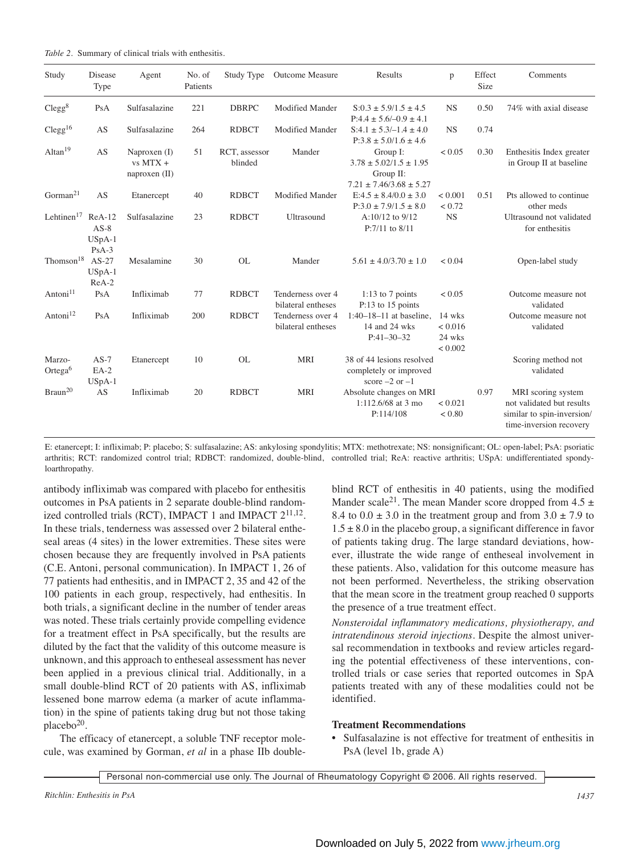| Table 2. Summary of clinical trials with enthesitis. |  |
|------------------------------------------------------|--|
|------------------------------------------------------|--|

| Study                         | Disease<br>Type                           | Agent                                         | No. of<br>Patients | Study Type               | <b>Outcome Measure</b>                  | Results                                                                                | p                                      | Effect<br>Size | Comments                                                                                                 |
|-------------------------------|-------------------------------------------|-----------------------------------------------|--------------------|--------------------------|-----------------------------------------|----------------------------------------------------------------------------------------|----------------------------------------|----------------|----------------------------------------------------------------------------------------------------------|
| Clegg <sup>8</sup>            | PsA                                       | Sulfasalazine                                 | 221                | <b>DBRPC</b>             | <b>Modified Mander</b>                  | $S:0.3 \pm 5.9/1.5 \pm 4.5$<br>$P:4.4 \pm 5.6/-0.9 \pm 4.1$                            | <b>NS</b>                              | 0.50           | 74% with axial disease                                                                                   |
| Clegg <sup>16</sup>           | AS                                        | Sulfasalazine                                 | 264                | <b>RDBCT</b>             | <b>Modified Mander</b>                  | $S:4.1 \pm 5.3/-1.4 \pm 4.0$<br>$P:3.8 \pm 5.0/1.6 \pm 4.6$                            | <b>NS</b>                              | 0.74           |                                                                                                          |
| Altan $19$                    | AS                                        | Naproxen $(I)$<br>$vs$ MTX +<br>naproxen (II) | 51                 | RCT, assessor<br>blinded | Mander                                  | Group I:<br>$3.78 \pm 5.02/1.5 \pm 1.95$<br>Group II:<br>$7.21 \pm 7.46/3.68 \pm 5.27$ | < 0.05                                 | 0.30           | Enthesitis Index greater<br>in Group II at baseline                                                      |
| Gorman <sup>21</sup>          | AS                                        | Etanercept                                    | 40                 | <b>RDBCT</b>             | <b>Modified Mander</b>                  | $E:4.5 \pm 8.4/0.0 \pm 3.0$<br>$P:3.0 \pm 7.9/1.5 \pm 8.0$                             | < 0.001<br>< 0.72                      | 0.51           | Pts allowed to continue<br>other meds                                                                    |
| Lehtinen $17$                 | $ReA-12$<br>$AS-8$<br>$USpA-1$<br>$PsA-3$ | Sulfasalazine                                 | 23                 | <b>RDBCT</b>             | Ultrasound                              | $A:10/12$ to $9/12$<br>$P:7/11$ to $8/11$                                              | <b>NS</b>                              |                | Ultrasound not validated<br>for enthesitis                                                               |
| Thomson <sup>18</sup>         | $AS-27$<br>$USpA-1$<br>$ReA-2$            | Mesalamine                                    | 30                 | <b>OL</b>                | Mander                                  | $5.61 \pm 4.0/3.70 \pm 1.0$                                                            | < 0.04                                 |                | Open-label study                                                                                         |
| Antoni <sup>11</sup>          | PsA                                       | Infliximab                                    | 77                 | <b>RDBCT</b>             | Tenderness over 4<br>bilateral entheses | 1:13 to 7 points<br>P:13 to 15 points                                                  | ${}_{< 0.05}$                          |                | Outcome measure not<br>validated                                                                         |
| Antoni <sup>12</sup>          | PsA                                       | Infliximab                                    | 200                | <b>RDBCT</b>             | Tenderness over 4<br>bilateral entheses | $1:40-18-11$ at baseline,<br>14 and 24 wks<br>$P:41-30-32$                             | 14 wks<br>< 0.016<br>24 wks<br>< 0.002 |                | Outcome measure not<br>validated                                                                         |
| Marzo-<br>Ortega <sup>6</sup> | $AS-7$<br>$EA-2$<br>$USpA-1$              | Etanercept                                    | 10                 | <b>OL</b>                | <b>MRI</b>                              | 38 of 44 lesions resolved<br>completely or improved<br>score $-2$ or $-1$              |                                        |                | Scoring method not<br>validated                                                                          |
| $\mathrm{Braun^{20}}$         | AS                                        | Infliximab                                    | 20                 | <b>RDBCT</b>             | <b>MRI</b>                              | Absolute changes on MRI<br>$1:112.6/68$ at 3 mo<br>P:114/108                           | < 0.021<br>< 0.80                      | 0.97           | MRI scoring system<br>not validated but results<br>similar to spin-inversion/<br>time-inversion recovery |

E: etanercept; I: infliximab; P: placebo; S: sulfasalazine; AS: ankylosing spondylitis; MTX: methotrexate; NS: nonsignificant; OL: open-label; PsA: psoriatic arthritis; RCT: randomized control trial; RDBCT: randomized, double-blind, controlled trial; ReA: reactive arthritis; USpA: undifferentiated spondyloarthropathy.

antibody infliximab was compared with placebo for enthesitis outcomes in PsA patients in 2 separate double-blind randomized controlled trials (RCT), IMPACT 1 and IMPACT  $2^{11,12}$ . In these trials, tenderness was assessed over 2 bilateral entheseal areas (4 sites) in the lower extremities. These sites were chosen because they are frequently involved in PsA patients (C.E. Antoni, personal communication). In IMPACT 1, 26 of 77 patients had enthesitis, and in IMPACT 2, 35 and 42 of the 100 patients in each group, respectively, had enthesitis. In both trials, a significant decline in the number of tender areas was noted. These trials certainly provide compelling evidence for a treatment effect in PsA specifically, but the results are diluted by the fact that the validity of this outcome measure is unknown, and this approach to entheseal assessment has never been applied in a previous clinical trial. Additionally, in a small double-blind RCT of 20 patients with AS, infliximab lessened bone marrow edema (a marker of acute inflammation) in the spine of patients taking drug but not those taking placebo<sup>20</sup>.

The efficacy of etanercept, a soluble TNF receptor molecule, was examined by Gorman, *et al* in a phase IIb doubleblind RCT of enthesitis in 40 patients, using the modified Mander scale<sup>21</sup>. The mean Mander score dropped from  $4.5 \pm$ 8.4 to  $0.0 \pm 3.0$  in the treatment group and from  $3.0 \pm 7.9$  to  $1.5 \pm 8.0$  in the placebo group, a significant difference in favor of patients taking drug. The large standard deviations, however, illustrate the wide range of entheseal involvement in these patients. Also, validation for this outcome measure has not been performed. Nevertheless, the striking observation that the mean score in the treatment group reached 0 supports the presence of a true treatment effect.

*Nonsteroidal inflammatory medications, physiotherapy, and intratendinous steroid injections*. Despite the almost universal recommendation in textbooks and review articles regarding the potential effectiveness of these interventions, controlled trials or case series that reported outcomes in SpA patients treated with any of these modalities could not be identified.

#### **Treatment Recommendations**

• Sulfasalazine is not effective for treatment of enthesitis in PsA (level 1b, grade A)

Personal non-commercial use only. The Journal of Rheumatology Copyright © 2006. All rights reserved.